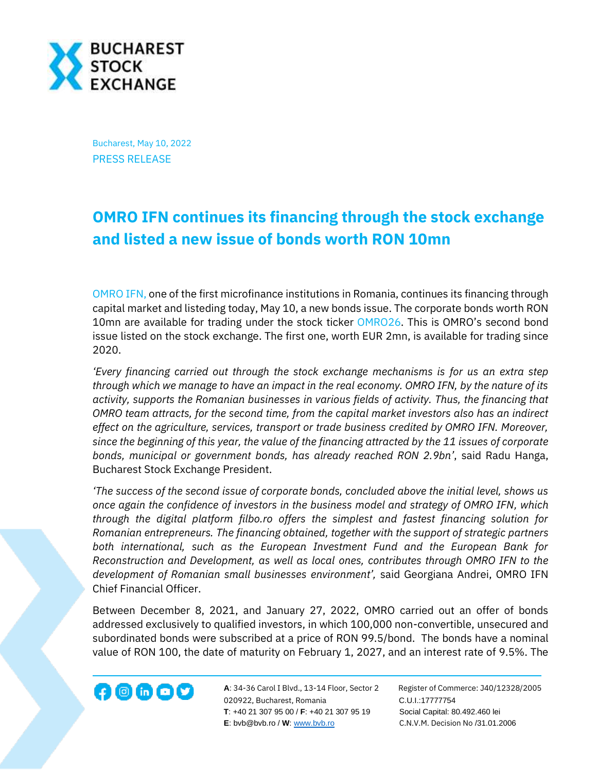

Bucharest, May 10, 2022 PRESS RELEASE

## **OMRO IFN continues its financing through the stock exchange and listed a new issue of bonds worth RON 10mn**

[OMRO IFN,](https://www.omro.ro/) one of the first microfinance institutions in Romania, continues its financing through capital market and listeding today, May 10, a new bonds issue. The corporate bonds worth RON 10mn are available for trading under the stock ticker [OMRO26.](https://bvb.ro/FinancialInstruments/Details/FinancialInstrumentsDetails.aspx?s=OMRO26) This is OMRO's second bond issue listed on the stock exchange. The first one, worth EUR 2mn, is available for trading since 2020.

*'Every financing carried out through the stock exchange mechanisms is for us an extra step through which we manage to have an impact in the real economy. OMRO IFN, by the nature of its activity, supports the Romanian businesses in various fields of activity. Thus, the financing that OMRO team attracts, for the second time, from the capital market investors also has an indirect effect on the agriculture, services, transport or trade business credited by OMRO IFN. Moreover, since the beginning of this year, the value of the financing attracted by the 11 issues of corporate bonds, municipal or government bonds, has already reached RON 2.9bn'*, said Radu Hanga, Bucharest Stock Exchange President.

*'The success of the second issue of corporate bonds, concluded above the initial level, shows us once again the confidence of investors in the business model and strategy of OMRO IFN, which through the digital platform filbo.ro offers the simplest and fastest financing solution for Romanian entrepreneurs. The financing obtained, together with the support of strategic partners both international, such as the European Investment Fund and the European Bank for Reconstruction and Development, as well as local ones, contributes through OMRO IFN to the development of Romanian small businesses environment',* said Georgiana Andrei, OMRO IFN Chief Financial Officer.

Between December 8, 2021, and January 27, 2022, OMRO carried out an offer of bonds addressed exclusively to qualified investors, in which 100,000 non-convertible, unsecured and subordinated bonds were subscribed at a price of RON 99.5/bond. The bonds have a nominal value of RON 100, the date of maturity on February 1, 2027, and an interest rate of 9.5%. The



**A**: 34-36 Carol I Blvd., 13-14 Floor, Sector 2 Register of Commerce: J40/12328/2005 020922, Bucharest, Romania C.U.I.:17777754  **T**: +40 21 307 95 00 / **F**: +40 21 307 95 19 Social Capital: 80.492.460 lei **E**: bvb@bvb.ro / **W**[: www.bvb.ro](http://www.bvb.ro/) C.N.V.M. Decision No /31.01.2006